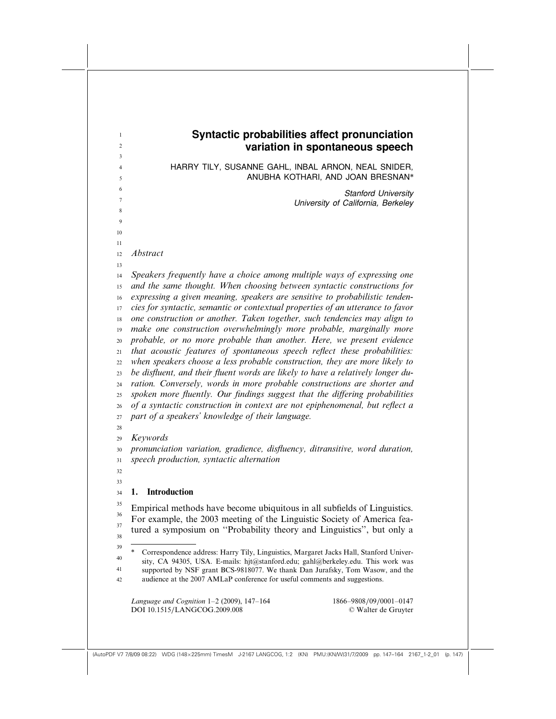| $\mathbf{1}$<br>$\overline{2}$ | Syntactic probabilities affect pronunciation<br>variation in spontaneous speech                                                                                            |  |  |  |  |
|--------------------------------|----------------------------------------------------------------------------------------------------------------------------------------------------------------------------|--|--|--|--|
| 3<br>$\overline{4}$<br>5       | HARRY TILY, SUSANNE GAHL, INBAL ARNON, NEAL SNIDER,<br>ANUBHA KOTHARI, AND JOAN BRESNAN*                                                                                   |  |  |  |  |
| 6<br>$\tau$                    | <b>Stanford University</b>                                                                                                                                                 |  |  |  |  |
| 8                              | University of California, Berkeley                                                                                                                                         |  |  |  |  |
| 9                              |                                                                                                                                                                            |  |  |  |  |
| 10<br>11                       |                                                                                                                                                                            |  |  |  |  |
| 12                             | Abstract                                                                                                                                                                   |  |  |  |  |
| 13                             |                                                                                                                                                                            |  |  |  |  |
| 14<br>15                       | Speakers frequently have a choice among multiple ways of expressing one<br>and the same thought. When choosing between syntactic constructions for                         |  |  |  |  |
| 16                             | expressing a given meaning, speakers are sensitive to probabilistic tenden-                                                                                                |  |  |  |  |
| 17                             | cies for syntactic, semantic or contextual properties of an utterance to favor                                                                                             |  |  |  |  |
| 18                             | one construction or another. Taken together, such tendencies may align to                                                                                                  |  |  |  |  |
| 19                             | make one construction overwhelmingly more probable, marginally more                                                                                                        |  |  |  |  |
| 20                             | probable, or no more probable than another. Here, we present evidence                                                                                                      |  |  |  |  |
| 21                             | that acoustic features of spontaneous speech reflect these probabilities:                                                                                                  |  |  |  |  |
| 22                             | when speakers choose a less probable construction, they are more likely to                                                                                                 |  |  |  |  |
| 23                             | be disfluent, and their fluent words are likely to have a relatively longer du-                                                                                            |  |  |  |  |
| 24                             | ration. Conversely, words in more probable constructions are shorter and                                                                                                   |  |  |  |  |
| 25<br>26                       | spoken more fluently. Our findings suggest that the differing probabilities<br>of a syntactic construction in context are not epiphenomenal, but reflect a                 |  |  |  |  |
| 27                             | part of a speakers' knowledge of their language.                                                                                                                           |  |  |  |  |
| 28                             |                                                                                                                                                                            |  |  |  |  |
| 29                             | Keywords                                                                                                                                                                   |  |  |  |  |
| 30                             | pronunciation variation, gradience, disfluency, ditransitive, word duration,                                                                                               |  |  |  |  |
| 31                             | speech production, syntactic alternation                                                                                                                                   |  |  |  |  |
| 32<br>33                       |                                                                                                                                                                            |  |  |  |  |
| 34                             | 1. Introduction                                                                                                                                                            |  |  |  |  |
| 35                             | Empirical methods have become ubiquitous in all subfields of Linguistics.                                                                                                  |  |  |  |  |
| 36<br>37                       | For example, the 2003 meeting of the Linguistic Society of America fea-                                                                                                    |  |  |  |  |
| 38                             | tured a symposium on "Probability theory and Linguistics", but only a                                                                                                      |  |  |  |  |
| 39                             | $\ast$                                                                                                                                                                     |  |  |  |  |
| 40                             | Correspondence address: Harry Tily, Linguistics, Margaret Jacks Hall, Stanford Univer-<br>sity, CA 94305, USA. E-mails: hjt@stanford.edu; gahl@berkeley.edu. This work was |  |  |  |  |
| 41                             | supported by NSF grant BCS-9818077. We thank Dan Jurafsky, Tom Wasow, and the                                                                                              |  |  |  |  |
| 42                             | audience at the 2007 AMLaP conference for useful comments and suggestions.                                                                                                 |  |  |  |  |
|                                | Language and Cognition $1-2$ (2009), $147-164$<br>1866-9808/09/0001-0147                                                                                                   |  |  |  |  |
|                                | DOI 10.1515/LANGCOG.2009.008<br>© Walter de Gruyter                                                                                                                        |  |  |  |  |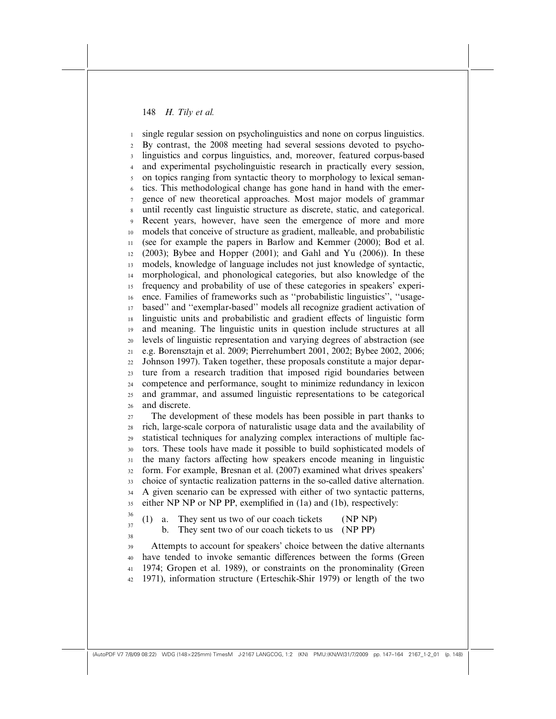single regular session on psycholinguistics and none on corpus linguistics. By contrast, the 2008 meeting had several sessions devoted to psycholinguistics and corpus linguistics, and, moreover, featured corpus-based and experimental psycholinguistic research in practically every session, on topics ranging from syntactic theory to morphology to lexical semantics. This methodological change has gone hand in hand with the emergence of new theoretical approaches. Most major models of grammar until recently cast linguistic structure as discrete, static, and categorical. Recent years, however, have seen the emergence of more and more models that conceive of structure as gradient, malleable, and probabilistic (see for example the papers in Barlow and Kemmer (2000); Bod et al. (2003); Bybee and Hopper (2001); and Gahl and Yu (2006)). In these models, knowledge of language includes not just knowledge of syntactic, morphological, and phonological categories, but also knowledge of the frequency and probability of use of these categories in speakers' experience. Families of frameworks such as ''probabilistic linguistics'', ''usagebased'' and ''exemplar-based'' models all recognize gradient activation of linguistic units and probabilistic and gradient effects of linguistic form and meaning. The linguistic units in question include structures at all levels of linguistic representation and varying degrees of abstraction (see e.g. Borensztajn et al. 2009; Pierrehumbert 2001, 2002; Bybee 2002, 2006; Johnson 1997). Taken together, these proposals constitute a major departure from a research tradition that imposed rigid boundaries between competence and performance, sought to minimize redundancy in lexicon and grammar, and assumed linguistic representations to be categorical and discrete. The development of these models has been possible in part thanks to rich, large-scale corpora of naturalistic usage data and the availability of statistical techniques for analyzing complex interactions of multiple factors. These tools have made it possible to build sophisticated models of the many factors affecting how speakers encode meaning in linguistic form. For example, Bresnan et al. (2007) examined what drives speakers' choice of syntactic realization patterns in the so-called dative alternation. A given scenario can be expressed with either of two syntactic patterns, either NP NP or NP PP, exemplified in (1a) and (1b), respectively: (1) a. They sent us two of our coach tickets (NP NP) b. They sent two of our coach tickets to us (NP PP) Attempts to account for speakers' choice between the dative alternants have tended to invoke semantic differences between the forms (Green 1974; Gropen et al. 1989), or constraints on the pronominality (Green 1971), information structure (Erteschik-Shir 1979) or length of the two 1 2 3 4 5 6 7 8 9 10 11 12 13 14 15 16 17 18 19 20 21 22 23 24 25 26 27  $28$ 29 30 31 32 33 34 35 36 37 38 39 40 41 42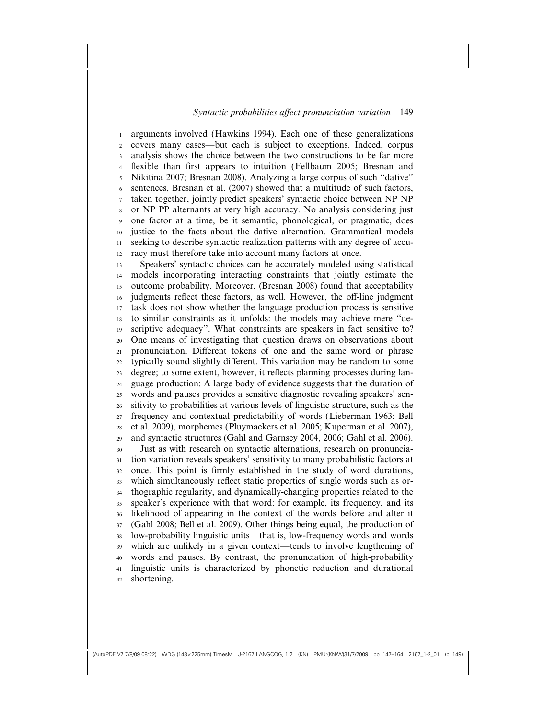arguments involved (Hawkins 1994). Each one of these generalizations covers many cases—but each is subject to exceptions. Indeed, corpus analysis shows the choice between the two constructions to be far more flexible than first appears to intuition (Fellbaum 2005; Bresnan and Nikitina 2007; Bresnan 2008). Analyzing a large corpus of such ''dative'' sentences, Bresnan et al. (2007) showed that a multitude of such factors, taken together, jointly predict speakers' syntactic choice between NP NP or NP PP alternants at very high accuracy. No analysis considering just one factor at a time, be it semantic, phonological, or pragmatic, does justice to the facts about the dative alternation. Grammatical models seeking to describe syntactic realization patterns with any degree of accuracy must therefore take into account many factors at once. Speakers' syntactic choices can be accurately modeled using statistical models incorporating interacting constraints that jointly estimate the outcome probability. Moreover, (Bresnan 2008) found that acceptability judgments reflect these factors, as well. However, the off-line judgment task does not show whether the language production process is sensitive to similar constraints as it unfolds: the models may achieve mere ''descriptive adequacy''. What constraints are speakers in fact sensitive to? One means of investigating that question draws on observations about pronunciation. Different tokens of one and the same word or phrase typically sound slightly different. This variation may be random to some degree; to some extent, however, it reflects planning processes during language production: A large body of evidence suggests that the duration of words and pauses provides a sensitive diagnostic revealing speakers' sensitivity to probabilities at various levels of linguistic structure, such as the frequency and contextual predictability of words (Lieberman 1963; Bell et al. 2009), morphemes (Pluymaekers et al. 2005; Kuperman et al. 2007), and syntactic structures (Gahl and Garnsey 2004, 2006; Gahl et al. 2006). Just as with research on syntactic alternations, research on pronunciation variation reveals speakers' sensitivity to many probabilistic factors at once. This point is firmly established in the study of word durations, which simultaneously reflect static properties of single words such as orthographic regularity, and dynamically-changing properties related to the 1 2 3 4 5 6 7 8 9 10 11 12 13 14 15 16 17 18 19 20 21 22 23 24 25 26 27  $28$ 29 30 31 32 33 34

speaker's experience with that word: for example, its frequency, and its likelihood of appearing in the context of the words before and after it (Gahl 2008; Bell et al. 2009). Other things being equal, the production of low-probability linguistic units—that is, low-frequency words and words which are unlikely in a given context—tends to involve lengthening of words and pauses. By contrast, the pronunciation of high-probability linguistic units is characterized by phonetic reduction and durational shortening. 35 36 37 38 39 40 41 42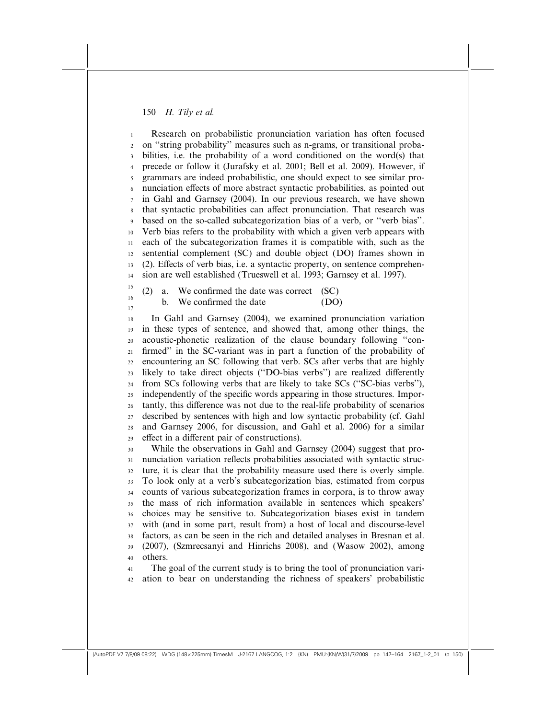Research on probabilistic pronunciation variation has often focused on ''string probability'' measures such as n-grams, or transitional probabilities, i.e. the probability of a word conditioned on the word(s) that precede or follow it (Jurafsky et al. 2001; Bell et al. 2009). However, if grammars are indeed probabilistic, one should expect to see similar pronunciation effects of more abstract syntactic probabilities, as pointed out in Gahl and Garnsey (2004). In our previous research, we have shown that syntactic probabilities can affect pronunciation. That research was based on the so-called subcategorization bias of a verb, or ''verb bias''. Verb bias refers to the probability with which a given verb appears with each of the subcategorization frames it is compatible with, such as the sentential complement (SC) and double object (DO) frames shown in  $(2)$ . Effects of verb bias, i.e. a syntactic property, on sentence comprehension are well established (Trueswell et al. 1993; Garnsey et al. 1997). 1 2 3 4 5 6 7 8 9 10 11 12 13 14

(2) a. We confirmed the date was correct (SC) b. We confirmed the date (DO) 15 16 17

In Gahl and Garnsey (2004), we examined pronunciation variation in these types of sentence, and showed that, among other things, the acoustic-phonetic realization of the clause boundary following ''confirmed'' in the SC-variant was in part a function of the probability of encountering an SC following that verb. SCs after verbs that are highly likely to take direct objects ("DO-bias verbs") are realized differently from SCs following verbs that are likely to take SCs (''SC-bias verbs''), independently of the specific words appearing in those structures. Importantly, this difference was not due to the real-life probability of scenarios described by sentences with high and low syntactic probability (cf. Gahl and Garnsey 2006, for discussion, and Gahl et al. 2006) for a similar effect in a different pair of constructions). 18 19 20 21 22 23 24 25 26 27  $28$ 29

While the observations in Gahl and Garnsey (2004) suggest that pronunciation variation reflects probabilities associated with syntactic structure, it is clear that the probability measure used there is overly simple. To look only at a verb's subcategorization bias, estimated from corpus counts of various subcategorization frames in corpora, is to throw away the mass of rich information available in sentences which speakers' choices may be sensitive to. Subcategorization biases exist in tandem with (and in some part, result from) a host of local and discourse-level factors, as can be seen in the rich and detailed analyses in Bresnan et al. (2007), (Szmrecsanyi and Hinrichs 2008), and (Wasow 2002), among others. 30 31 32 33 34 35 36 37 38 39 40

The goal of the current study is to bring the tool of pronunciation variation to bear on understanding the richness of speakers' probabilistic 41 42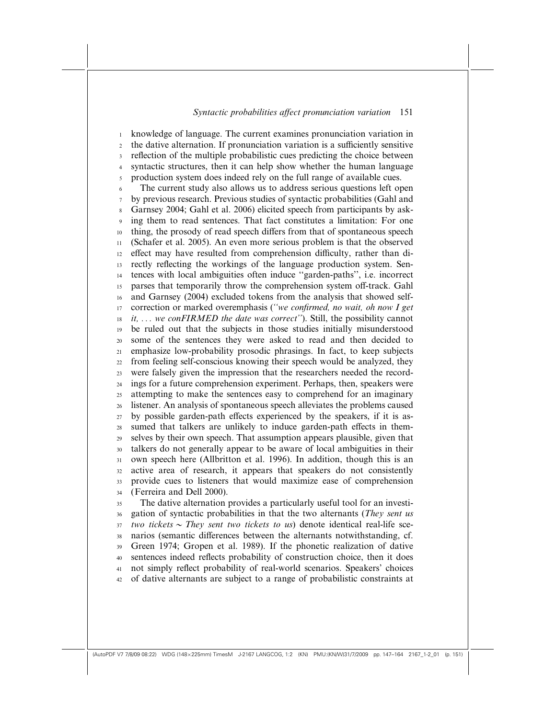knowledge of language. The current examines pronunciation variation in the dative alternation. If pronunciation variation is a sufficiently sensitive reflection of the multiple probabilistic cues predicting the choice between syntactic structures, then it can help show whether the human language production system does indeed rely on the full range of available cues. The current study also allows us to address serious questions left open by previous research. Previous studies of syntactic probabilities (Gahl and Garnsey 2004; Gahl et al. 2006) elicited speech from participants by asking them to read sentences. That fact constitutes a limitation: For one thing, the prosody of read speech differs from that of spontaneous speech (Schafer et al. 2005). An even more serious problem is that the observed effect may have resulted from comprehension difficulty, rather than directly reflecting the workings of the language production system. Sentences with local ambiguities often induce ''garden-paths'', i.e. incorrect parses that temporarily throw the comprehension system off-track. Gahl and Garnsey (2004) excluded tokens from the analysis that showed selfcorrection or marked overemphasis ("we confirmed, no wait, oh now I get  $it, \ldots$  we conFIRMED the date was correct"). Still, the possibility cannot be ruled out that the subjects in those studies initially misunderstood some of the sentences they were asked to read and then decided to emphasize low-probability prosodic phrasings. In fact, to keep subjects from feeling self-conscious knowing their speech would be analyzed, they were falsely given the impression that the researchers needed the recordings for a future comprehension experiment. Perhaps, then, speakers were attempting to make the sentences easy to comprehend for an imaginary listener. An analysis of spontaneous speech alleviates the problems caused by possible garden-path effects experienced by the speakers, if it is assumed that talkers are unlikely to induce garden-path effects in themselves by their own speech. That assumption appears plausible, given that talkers do not generally appear to be aware of local ambiguities in their own speech here (Allbritton et al. 1996). In addition, though this is an active area of research, it appears that speakers do not consistently provide cues to listeners that would maximize ease of comprehension (Ferreira and Dell 2000). The dative alternation provides a particularly useful tool for an investigation of syntactic probabilities in that the two alternants (They sent us two tickets  $\sim$  They sent two tickets to us) denote identical real-life scenarios (semantic differences between the alternants notwithstanding, cf. Green 1974; Gropen et al. 1989). If the phonetic realization of dative sentences indeed reflects probability of construction choice, then it does not simply reflect probability of real-world scenarios. Speakers' choices of dative alternants are subject to a range of probabilistic constraints at 1 2 3 4 5 6 7 8 9 10 11 12 13 14 15 16 17 18 19 20 21 22 23 24 25 26 27  $28$ 29 30 31 32 33 34 35 36 37 38 39 40 41 42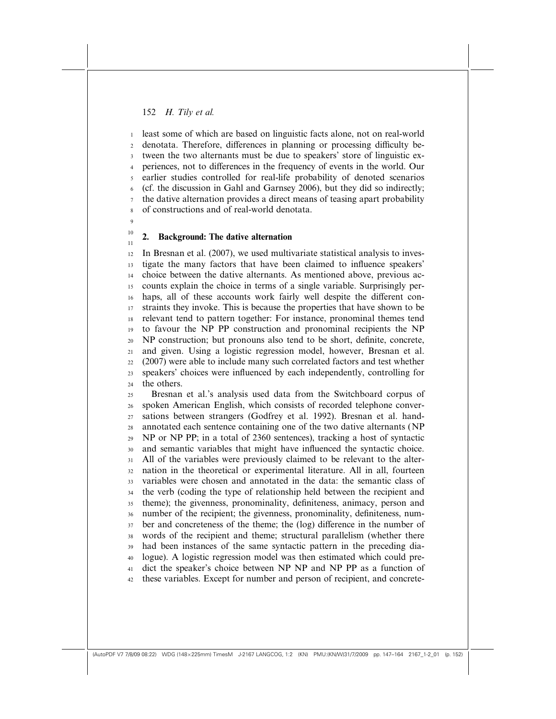least some of which are based on linguistic facts alone, not on real-world denotata. Therefore, differences in planning or processing difficulty between the two alternants must be due to speakers' store of linguistic experiences, not to differences in the frequency of events in the world. Our earlier studies controlled for real-life probability of denoted scenarios (cf. the discussion in Gahl and Garnsey 2006), but they did so indirectly; the dative alternation provides a direct means of teasing apart probability of constructions and of real-world denotata. 1 2 3 4 5 6 7 8

#### $\overline{9}$ 10

11

# 2. Background: The dative alternation

In Bresnan et al. (2007), we used multivariate statistical analysis to investigate the many factors that have been claimed to influence speakers' choice between the dative alternants. As mentioned above, previous accounts explain the choice in terms of a single variable. Surprisingly perhaps, all of these accounts work fairly well despite the different constraints they invoke. This is because the properties that have shown to be relevant tend to pattern together: For instance, pronominal themes tend to favour the NP PP construction and pronominal recipients the NP NP construction; but pronouns also tend to be short, definite, concrete, and given. Using a logistic regression model, however, Bresnan et al. (2007) were able to include many such correlated factors and test whether speakers' choices were influenced by each independently, controlling for the others. 12 13 14 15 16 17 18 19 20 21 22 23 24

Bresnan et al.'s analysis used data from the Switchboard corpus of spoken American English, which consists of recorded telephone conversations between strangers (Godfrey et al. 1992). Bresnan et al. handannotated each sentence containing one of the two dative alternants (NP NP or NP PP; in a total of 2360 sentences), tracking a host of syntactic and semantic variables that might have influenced the syntactic choice. All of the variables were previously claimed to be relevant to the alternation in the theoretical or experimental literature. All in all, fourteen variables were chosen and annotated in the data: the semantic class of the verb (coding the type of relationship held between the recipient and theme); the givenness, pronominality, definiteness, animacy, person and number of the recipient; the givenness, pronominality, definiteness, number and concreteness of the theme; the (log) difference in the number of words of the recipient and theme; structural parallelism (whether there had been instances of the same syntactic pattern in the preceding dialogue). A logistic regression model was then estimated which could predict the speaker's choice between NP NP and NP PP as a function of these variables. Except for number and person of recipient, and concrete-25 26 27  $28$ 29 30 31 32 33 34 35 36 37 38 39 40 41 42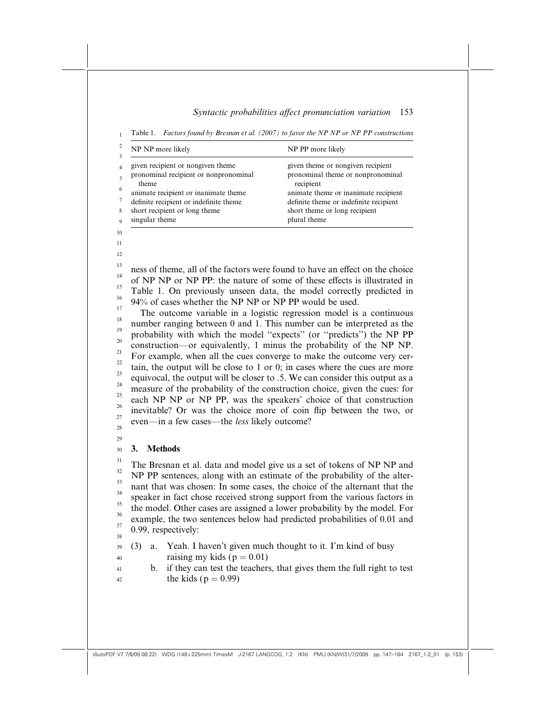Table 1. Factors found by Bresnan et al. (2007) to favor the NP NP or NP PP constructions 1

| NP NP more likely                      | NP PP more likely                      |  |  |
|----------------------------------------|----------------------------------------|--|--|
| given recipient or nongiven theme      | given theme or nongiven recipient      |  |  |
| pronominal recipient or nonpronominal  | pronominal theme or nonpronominal      |  |  |
| theme                                  | recipient                              |  |  |
| animate recipient or inanimate theme   | animate theme or inanimate recipient   |  |  |
| definite recipient or indefinite theme | definite theme or indefinite recipient |  |  |
| short recipient or long theme          | short theme or long recipient          |  |  |
| singular theme                         | plural theme                           |  |  |

ness of theme, all of the factors were found to have an effect on the choice of NP NP or NP PP: the nature of some of these effects is illustrated in Table 1. On previously unseen data, the model correctly predicted in 94% of cases whether the NP NP or NP PP would be used. 13 14 15 16 17

The outcome variable in a logistic regression model is a continuous number ranging between 0 and 1. This number can be interpreted as the probability with which the model ''expects'' (or ''predicts'') the NP PP construction—or equivalently, 1 minus the probability of the NP NP. For example, when all the cues converge to make the outcome very certain, the output will be close to 1 or 0; in cases where the cues are more equivocal, the output will be closer to .5. We can consider this output as a measure of the probability of the construction choice, given the cues: for each NP NP or NP PP, was the speakers' choice of that construction inevitable? Or was the choice more of coin flip between the two, or even—in a few cases—the less likely outcome? 18 19 20 21 22 23 24 25 26 27 28

29 30

41 42

11 12

## 3. Methods

The Bresnan et al. data and model give us a set of tokens of NP NP and NP PP sentences, along with an estimate of the probability of the alternant that was chosen: In some cases, the choice of the alternant that the speaker in fact chose received strong support from the various factors in the model. Other cases are assigned a lower probability by the model. For example, the two sentences below had predicted probabilities of 0.01 and 0.99, respectively: 31 32 33 34 35 36 37 38

- (3) a. Yeah. I haven't given much thought to it. I'm kind of busy raising my kids ( $p = 0.01$ ) 39 40
	-
	- b. if they can test the teachers, that gives them the full right to test the kids ( $p = 0.99$ )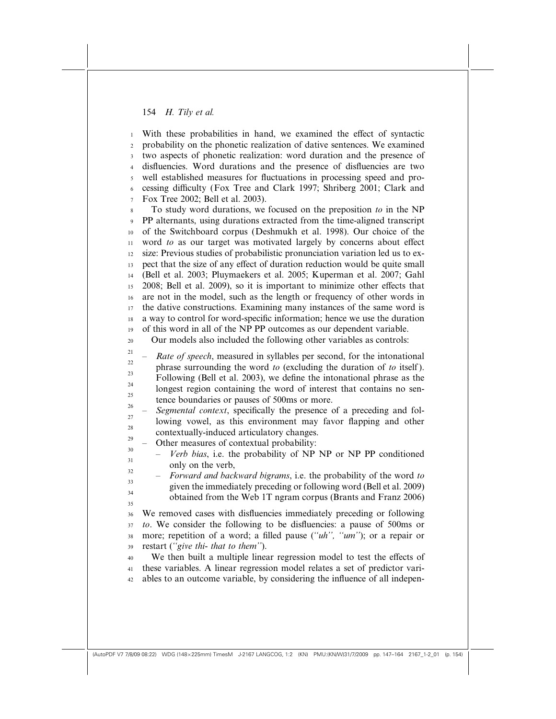With these probabilities in hand, we examined the effect of syntactic probability on the phonetic realization of dative sentences. We examined two aspects of phonetic realization: word duration and the presence of disfluencies. Word durations and the presence of disfluencies are two well established measures for fluctuations in processing speed and processing difficulty (Fox Tree and Clark 1997; Shriberg 2001; Clark and Fox Tree 2002; Bell et al. 2003). To study word durations, we focused on the preposition to in the NP PP alternants, using durations extracted from the time-aligned transcript of the Switchboard corpus (Deshmukh et al. 1998). Our choice of the word to as our target was motivated largely by concerns about effect size: Previous studies of probabilistic pronunciation variation led us to expect that the size of any effect of duration reduction would be quite small (Bell et al. 2003; Pluymaekers et al. 2005; Kuperman et al. 2007; Gahl 2008; Bell et al. 2009), so it is important to minimize other effects that are not in the model, such as the length or frequency of other words in the dative constructions. Examining many instances of the same word is a way to control for word-specific information; hence we use the duration of this word in all of the NP PP outcomes as our dependent variable. Our models also included the following other variables as controls: Rate of speech, measured in syllables per second, for the intonational phrase surrounding the word to (excluding the duration of to itself ). Following (Bell et al. 2003), we define the intonational phrase as the longest region containing the word of interest that contains no sentence boundaries or pauses of 500ms or more. Segmental context, specifically the presence of a preceding and following vowel, as this environment may favor flapping and other contextually-induced articulatory changes. – Other measures of contextual probability: Verb bias, i.e. the probability of NP NP or NP PP conditioned only on the verb, – Forward and backward bigrams, i.e. the probability of the word to given the immediately preceding or following word (Bell et al. 2009) obtained from the Web 1T ngram corpus (Brants and Franz 2006) We removed cases with disfluencies immediately preceding or following to. We consider the following to be disfluencies: a pause of 500ms or more; repetition of a word; a filled pause ("uh", "um"); or a repair or restart (''give thi- that to them''). We then built a multiple linear regression model to test the effects of these variables. A linear regression model relates a set of predictor variables to an outcome variable, by considering the influence of all indepen-1 2 3 4 5 6 7 8 9 10 11 12 13 14 15 16 17 18 19 20 21 22 23 24 25 26 27  $28$ 29 30 31 32 33 34 35 36 37 38 39 40 41 42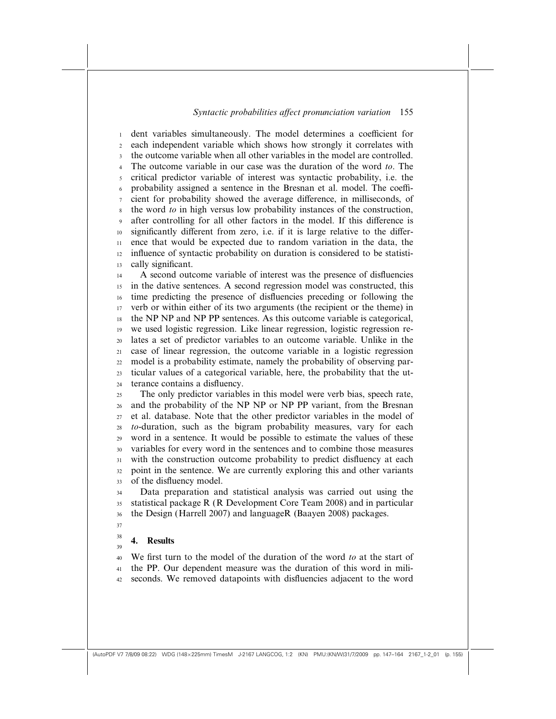dent variables simultaneously. The model determines a coefficient for each independent variable which shows how strongly it correlates with the outcome variable when all other variables in the model are controlled. The outcome variable in our case was the duration of the word to. The critical predictor variable of interest was syntactic probability, i.e. the probability assigned a sentence in the Bresnan et al. model. The coefficient for probability showed the average difference, in milliseconds, of the word to in high versus low probability instances of the construction, after controlling for all other factors in the model. If this difference is significantly different from zero, i.e. if it is large relative to the difference that would be expected due to random variation in the data, the influence of syntactic probability on duration is considered to be statistically significant. A second outcome variable of interest was the presence of disfluencies in the dative sentences. A second regression model was constructed, this time predicting the presence of disfluencies preceding or following the verb or within either of its two arguments (the recipient or the theme) in the NP NP and NP PP sentences. As this outcome variable is categorical, we used logistic regression. Like linear regression, logistic regression relates a set of predictor variables to an outcome variable. Unlike in the case of linear regression, the outcome variable in a logistic regression model is a probability estimate, namely the probability of observing particular values of a categorical variable, here, the probability that the utterance contains a disfluency. The only predictor variables in this model were verb bias, speech rate, and the probability of the NP NP or NP PP variant, from the Bresnan et al. database. Note that the other predictor variables in the model of to-duration, such as the bigram probability measures, vary for each word in a sentence. It would be possible to estimate the values of these variables for every word in the sentences and to combine those measures with the construction outcome probability to predict disfluency at each point in the sentence. We are currently exploring this and other variants of the disfluency model. Data preparation and statistical analysis was carried out using the statistical package R (R Development Core Team 2008) and in particular 1 2 3 4 5 6 7 8 9 10 11 12 13 14 15 16 17 18 19 20 21 22 23 24 25 26 27  $28$ 29 30 31 32 33 34 35

- the Design (Harrell 2007) and languageR (Baayen 2008) packages. 36
- 37 38

39

# 4. Results

We first turn to the model of the duration of the word to at the start of the PP. Our dependent measure was the duration of this word in miliseconds. We removed datapoints with disfluencies adjacent to the word 40 41 42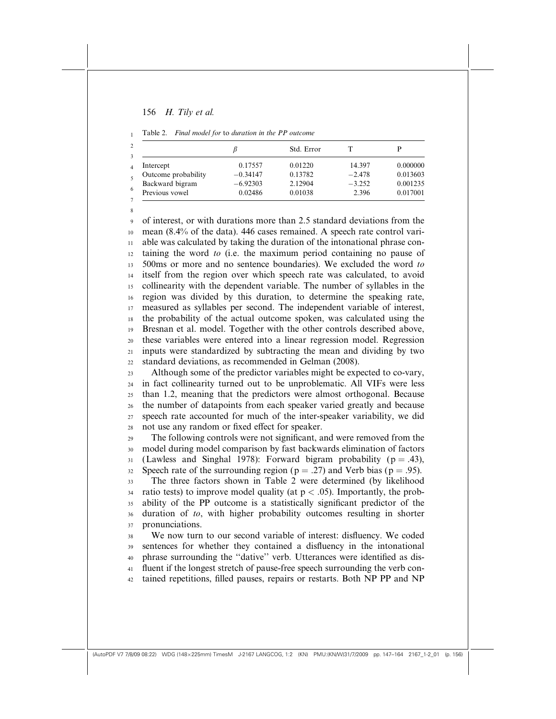1

8

|  | Table 2. Final model for to duration in the PP outcome |  |  |  |  |  |  |
|--|--------------------------------------------------------|--|--|--|--|--|--|
|--|--------------------------------------------------------|--|--|--|--|--|--|

|                     |            | Std. Error |          |          |
|---------------------|------------|------------|----------|----------|
| Intercept           | 0.17557    | 0.01220    | 14.397   | 0.000000 |
| Outcome probability | $-0.34147$ | 0.13782    | $-2.478$ | 0.013603 |
| Backward bigram     | $-6.92303$ | 2.12904    | $-3.252$ | 0.001235 |
| Previous vowel      | 0.02486    | 0.01038    | 2.396    | 0.017001 |

of interest, or with durations more than 2.5 standard deviations from the mean (8.4% of the data). 446 cases remained. A speech rate control variable was calculated by taking the duration of the intonational phrase containing the word to (i.e. the maximum period containing no pause of 500ms or more and no sentence boundaries). We excluded the word to itself from the region over which speech rate was calculated, to avoid collinearity with the dependent variable. The number of syllables in the region was divided by this duration, to determine the speaking rate, measured as syllables per second. The independent variable of interest, the probability of the actual outcome spoken, was calculated using the Bresnan et al. model. Together with the other controls described above, these variables were entered into a linear regression model. Regression inputs were standardized by subtracting the mean and dividing by two standard deviations, as recommended in Gelman (2008). 9 10 11 12 13 14 15 16 17 18 19 20 21 22

Although some of the predictor variables might be expected to co-vary, in fact collinearity turned out to be unproblematic. All VIFs were less than 1.2, meaning that the predictors were almost orthogonal. Because the number of datapoints from each speaker varied greatly and because speech rate accounted for much of the inter-speaker variability, we did not use any random or fixed effect for speaker. 23 24 25 26 27  $28$ 

The following controls were not significant, and were removed from the model during model comparison by fast backwards elimination of factors (Lawless and Singhal 1978): Forward bigram probability ( $p = .43$ ), Speech rate of the surrounding region ( $p = .27$ ) and Verb bias ( $p = .95$ ). 29 30 31 32

The three factors shown in Table 2 were determined (by likelihood ratio tests) to improve model quality (at  $p < .05$ ). Importantly, the probability of the PP outcome is a statistically significant predictor of the duration of to, with higher probability outcomes resulting in shorter pronunciations. 33 34 35 36 37

We now turn to our second variable of interest: disfluency. We coded sentences for whether they contained a disfluency in the intonational phrase surrounding the ''dative'' verb. Utterances were identified as disfluent if the longest stretch of pause-free speech surrounding the verb contained repetitions, filled pauses, repairs or restarts. Both NP PP and NP 38 39 40 41 42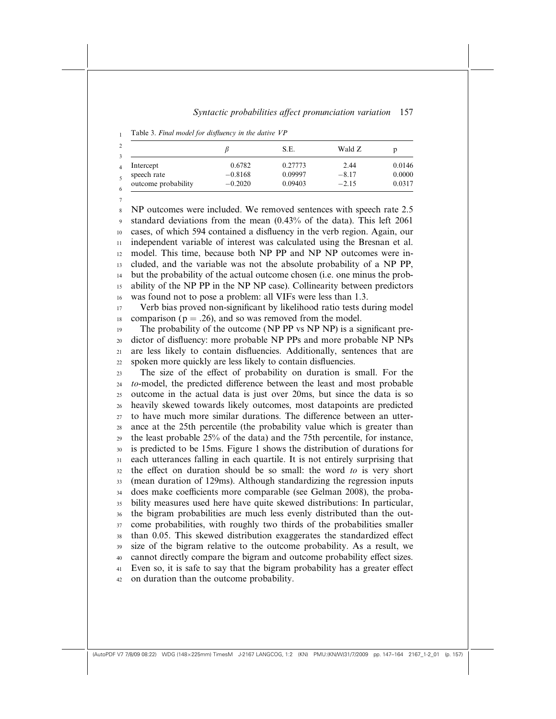Table 3. Final model for disfluency in the dative VP 1

7

|                     |           | S.E.    | Wald Z  |        |
|---------------------|-----------|---------|---------|--------|
| Intercept           | 0.6782    | 0.27773 | 2.44    | 0.0146 |
| speech rate         | $-0.8168$ | 0.09997 | $-8.17$ | 0.0000 |
| outcome probability | $-0.2020$ | 0.09403 | $-2.15$ | 0.0317 |

NP outcomes were included. We removed sentences with speech rate 2.5 standard deviations from the mean (0.43% of the data). This left 2061 cases, of which 594 contained a disfluency in the verb region. Again, our independent variable of interest was calculated using the Bresnan et al. model. This time, because both NP PP and NP NP outcomes were included, and the variable was not the absolute probability of a NP PP, but the probability of the actual outcome chosen (i.e. one minus the probability of the NP PP in the NP NP case). Collinearity between predictors was found not to pose a problem: all VIFs were less than 1.3. 8 9 10 11 12 13 14 15 16

Verb bias proved non-significant by likelihood ratio tests during model comparison ( $p = .26$ ), and so was removed from the model. 17 18

The probability of the outcome (NP PP vs NP NP) is a significant predictor of disfluency: more probable NP PPs and more probable NP NPs are less likely to contain disfluencies. Additionally, sentences that are spoken more quickly are less likely to contain disfluencies. 19 20 21 22

The size of the effect of probability on duration is small. For the to-model, the predicted difference between the least and most probable outcome in the actual data is just over 20ms, but since the data is so heavily skewed towards likely outcomes, most datapoints are predicted to have much more similar durations. The difference between an utterance at the 25th percentile (the probability value which is greater than the least probable 25% of the data) and the 75th percentile, for instance, is predicted to be 15ms. Figure 1 shows the distribution of durations for each utterances falling in each quartile. It is not entirely surprising that the effect on duration should be so small: the word  $to$  is very short (mean duration of 129ms). Although standardizing the regression inputs does make coefficients more comparable (see Gelman 2008), the probability measures used here have quite skewed distributions: In particular, the bigram probabilities are much less evenly distributed than the outcome probabilities, with roughly two thirds of the probabilities smaller than 0.05. This skewed distribution exaggerates the standardized effect size of the bigram relative to the outcome probability. As a result, we cannot directly compare the bigram and outcome probability effect sizes. Even so, it is safe to say that the bigram probability has a greater effect on duration than the outcome probability. 23 24 25 26 27  $28$ 29 30 31 32 33 34 35 36 37 38 39 40 41 42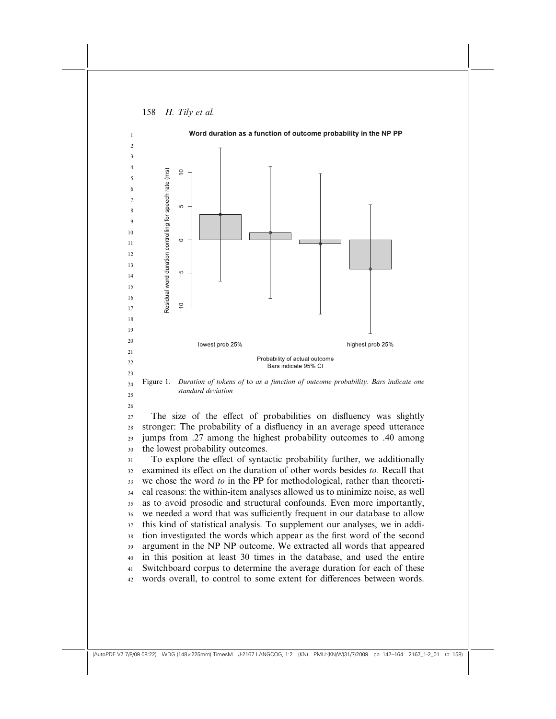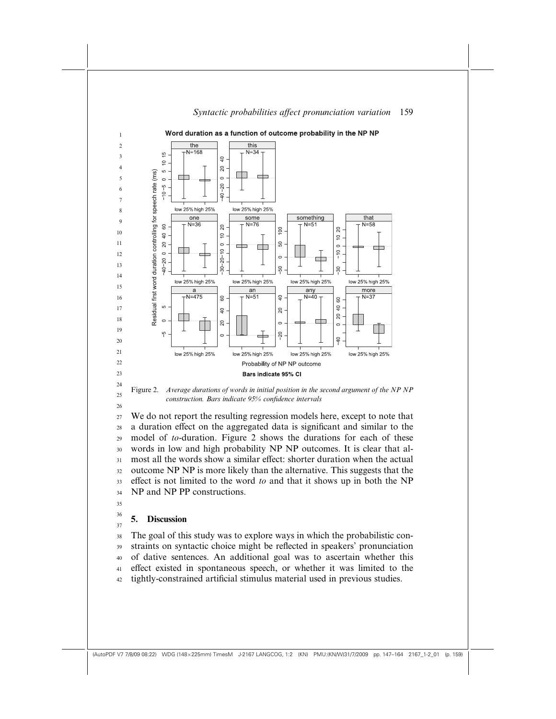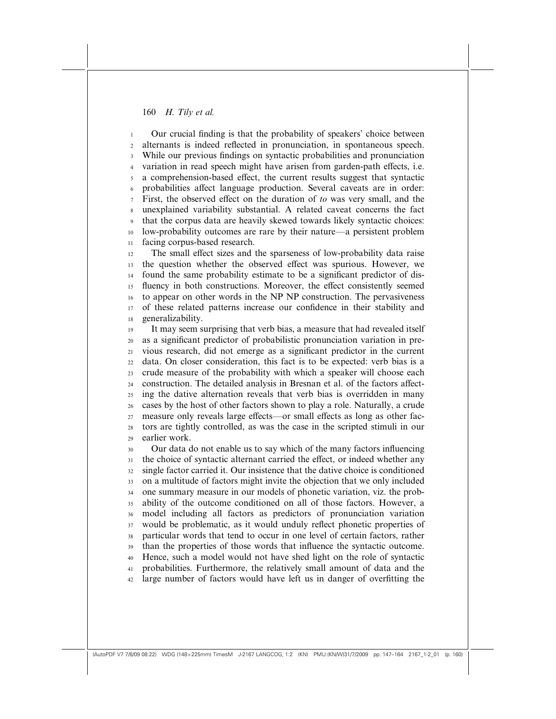Our crucial finding is that the probability of speakers' choice between alternants is indeed reflected in pronunciation, in spontaneous speech. While our previous findings on syntactic probabilities and pronunciation variation in read speech might have arisen from garden-path effects, i.e. a comprehension-based effect, the current results suggest that syntactic probabilities affect language production. Several caveats are in order: First, the observed effect on the duration of to was very small, and the unexplained variability substantial. A related caveat concerns the fact that the corpus data are heavily skewed towards likely syntactic choices: low-probability outcomes are rare by their nature—a persistent problem facing corpus-based research. 1 2 3 4 5 6 7 8 9 10 11

The small effect sizes and the sparseness of low-probability data raise the question whether the observed effect was spurious. However, we found the same probability estimate to be a significant predictor of disfluency in both constructions. Moreover, the effect consistently seemed to appear on other words in the NP NP construction. The pervasiveness of these related patterns increase our confidence in their stability and generalizability. 12 13 14 15 16 17 18

It may seem surprising that verb bias, a measure that had revealed itself as a significant predictor of probabilistic pronunciation variation in previous research, did not emerge as a significant predictor in the current data. On closer consideration, this fact is to be expected: verb bias is a crude measure of the probability with which a speaker will choose each construction. The detailed analysis in Bresnan et al. of the factors affecting the dative alternation reveals that verb bias is overridden in many cases by the host of other factors shown to play a role. Naturally, a crude measure only reveals large effects—or small effects as long as other factors are tightly controlled, as was the case in the scripted stimuli in our earlier work. 19 20 21 22 23 24 25 26 27  $28$ 29

Our data do not enable us to say which of the many factors influencing the choice of syntactic alternant carried the effect, or indeed whether any single factor carried it. Our insistence that the dative choice is conditioned on a multitude of factors might invite the objection that we only included one summary measure in our models of phonetic variation, viz. the probability of the outcome conditioned on all of those factors. However, a model including all factors as predictors of pronunciation variation would be problematic, as it would unduly reflect phonetic properties of particular words that tend to occur in one level of certain factors, rather than the properties of those words that influence the syntactic outcome. Hence, such a model would not have shed light on the role of syntactic probabilities. Furthermore, the relatively small amount of data and the large number of factors would have left us in danger of overfitting the 30 31 32 33 34 35 36 37 38 39 40 41 42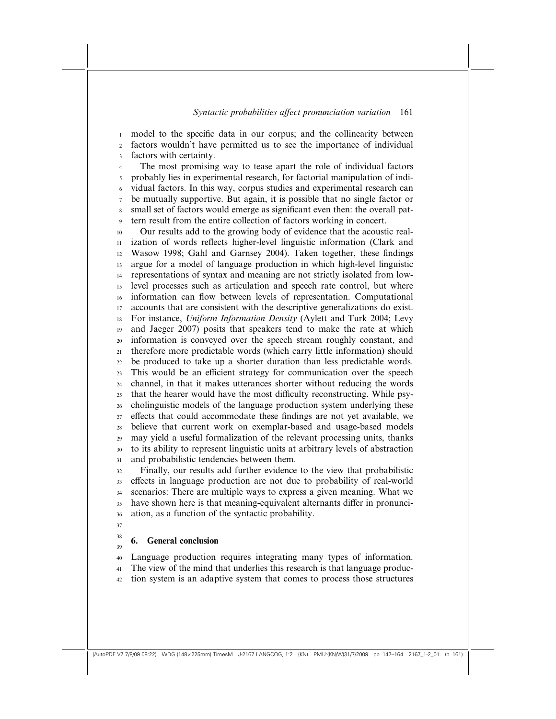model to the specific data in our corpus; and the collinearity between factors wouldn't have permitted us to see the importance of individual factors with certainty. The most promising way to tease apart the role of individual factors probably lies in experimental research, for factorial manipulation of individual factors. In this way, corpus studies and experimental research can be mutually supportive. But again, it is possible that no single factor or small set of factors would emerge as significant even then: the overall pattern result from the entire collection of factors working in concert. Our results add to the growing body of evidence that the acoustic realization of words reflects higher-level linguistic information (Clark and Wasow 1998; Gahl and Garnsey 2004). Taken together, these findings argue for a model of language production in which high-level linguistic representations of syntax and meaning are not strictly isolated from lowlevel processes such as articulation and speech rate control, but where information can flow between levels of representation. Computational accounts that are consistent with the descriptive generalizations do exist. For instance, Uniform Information Density (Aylett and Turk 2004; Levy and Jaeger 2007) posits that speakers tend to make the rate at which information is conveyed over the speech stream roughly constant, and therefore more predictable words (which carry little information) should be produced to take up a shorter duration than less predictable words. This would be an efficient strategy for communication over the speech channel, in that it makes utterances shorter without reducing the words that the hearer would have the most difficulty reconstructing. While psycholinguistic models of the language production system underlying these effects that could accommodate these findings are not yet available, we believe that current work on exemplar-based and usage-based models may yield a useful formalization of the relevant processing units, thanks to its ability to represent linguistic units at arbitrary levels of abstraction and probabilistic tendencies between them. Finally, our results add further evidence to the view that probabilistic effects in language production are not due to probability of real-world scenarios: There are multiple ways to express a given meaning. What we have shown here is that meaning-equivalent alternants differ in pronunciation, as a function of the syntactic probability. 1 2 3 4 5 6 7 8 9 10 11 12 13 14 15 16 17 18 19 20 21 22 23 24 25 26 27  $28$ 29 30 31 32 33 34 35 36 37

## 6. General conclusion

38 39

Language production requires integrating many types of information. The view of the mind that underlies this research is that language produc-40 41

tion system is an adaptive system that comes to process those structures 42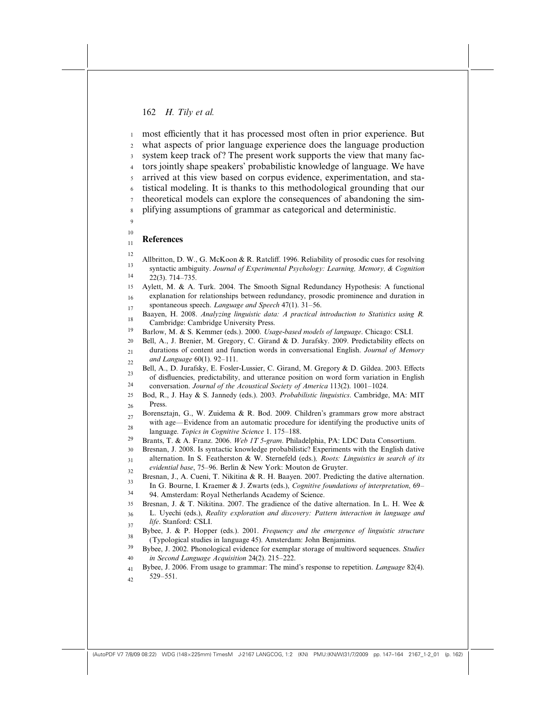most efficiently that it has processed most often in prior experience. But what aspects of prior language experience does the language production system keep track of? The present work supports the view that many factors jointly shape speakers' probabilistic knowledge of language. We have arrived at this view based on corpus evidence, experimentation, and statistical modeling. It is thanks to this methodological grounding that our theoretical models can explore the consequences of abandoning the simplifying assumptions of grammar as categorical and deterministic. References Allbritton, D. W., G. McKoon & R. Ratcliff. 1996. Reliability of prosodic cues for resolving syntactic ambiguity. Journal of Experimental Psychology: Learning, Memory, & Cognition 22(3). 714–735. Aylett, M. & A. Turk. 2004. The Smooth Signal Redundancy Hypothesis: A functional explanation for relationships between redundancy, prosodic prominence and duration in spontaneous speech. Language and Speech 47(1). 31-56. Baayen, H. 2008. Analyzing linguistic data: A practical introduction to Statistics using R. Cambridge: Cambridge University Press. Barlow, M. & S. Kemmer (eds.). 2000. Usage-based models of language. Chicago: CSLI. Bell, A., J. Brenier, M. Gregory, C. Girand & D. Jurafsky. 2009. Predictability effects on durations of content and function words in conversational English. Journal of Memory and Language 60(1). 92–111. Bell, A., D. Jurafsky, E. Fosler-Lussier, C. Girand, M. Gregory & D. Gildea. 2003. Effects of disfluencies, predictability, and utterance position on word form variation in English conversation. Journal of the Acoustical Society of America 113(2). 1001–1024. Bod, R., J. Hay & S. Jannedy (eds.). 2003. Probabilistic linguistics. Cambridge, MA: MIT Press. Borensztajn, G., W. Zuidema & R. Bod. 2009. Children's grammars grow more abstract with age—Evidence from an automatic procedure for identifying the productive units of language. Topics in Cognitive Science 1. 175–188. Brants, T. & A. Franz. 2006. Web 1T 5-gram. Philadelphia, PA: LDC Data Consortium. Bresnan, J. 2008. Is syntactic knowledge probabilistic? Experiments with the English dative alternation. In S. Featherston & W. Sternefeld (eds.), Roots: Linguistics in search of its evidential base, 75–96. Berlin & New York: Mouton de Gruyter. Bresnan, J., A. Cueni, T. Nikitina & R. H. Baayen. 2007. Predicting the dative alternation. In G. Bourne, I. Kraemer & J. Zwarts (eds.), *Cognitive foundations of interpretation*, 69– 94. Amsterdam: Royal Netherlands Academy of Science. Bresnan, J. & T. Nikitina. 2007. The gradience of the dative alternation. In L. H. Wee & L. Uyechi (eds.), Reality exploration and discovery: Pattern interaction in language and life. Stanford: CSLI. Bybee, J. & P. Hopper (eds.). 2001. Frequency and the emergence of linguistic structure (Typological studies in language 45). Amsterdam: John Benjamins. Bybee, J. 2002. Phonological evidence for exemplar storage of multiword sequences. Studies in Second Language Acquisition 24(2). 215–222. Bybee, J. 2006. From usage to grammar: The mind's response to repetition. Language 82(4). 529–551. 1 2 3 4 5 6 7 8  $\overline{9}$ 10 11 12 13 14 15 16 17 18 19 20 21 22 23 24 25 26 27  $28$ 29 30 31 32 33 34 35 36 37 38 39 40 41  $42$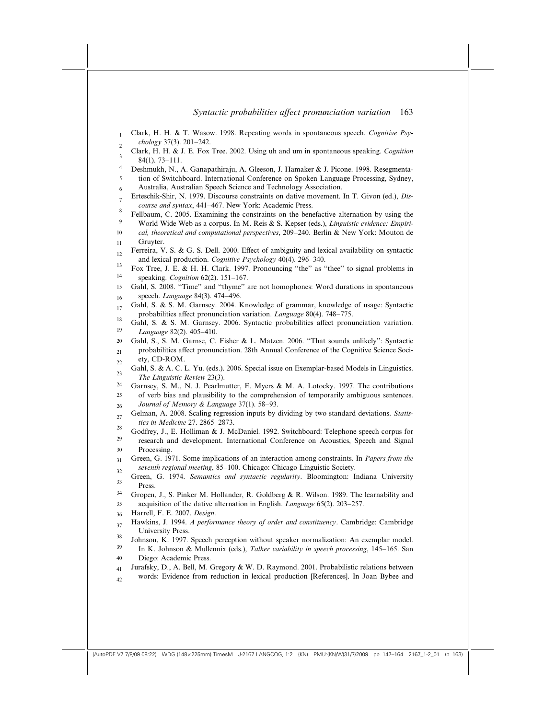|                     | Syntactic probabilities affect pronunciation variation<br>163                                                                                                                       |
|---------------------|-------------------------------------------------------------------------------------------------------------------------------------------------------------------------------------|
| $\mathbf{1}$        | Clark, H. H. & T. Wasow. 1998. Repeating words in spontaneous speech. Cognitive Psy-<br>chology 37(3). 201-242.                                                                     |
| $\overline{c}$<br>3 | Clark, H. H. & J. E. Fox Tree. 2002. Using uh and um in spontaneous speaking. Cognition<br>$84(1)$ , 73-111.                                                                        |
| 4                   | Deshmukh, N., A. Ganapathiraju, A. Gleeson, J. Hamaker & J. Picone. 1998. Resegmenta-                                                                                               |
| 5<br>6              | tion of Switchboard. International Conference on Spoken Language Processing, Sydney,<br>Australia, Australian Speech Science and Technology Association.                            |
| $\overline{7}$      | Erteschik-Shir, N. 1979. Discourse constraints on dative movement. In T. Givon (ed.), Dis-<br>course and syntax, 441-467. New York: Academic Press.                                 |
| 8<br>9              | Fellbaum, C. 2005. Examining the constraints on the benefactive alternation by using the<br>World Wide Web as a corpus. In M. Reis & S. Kepser (eds.), Linguistic evidence: Empiri- |
| 10<br>11            | cal, theoretical and computational perspectives, 209-240. Berlin & New York: Mouton de<br>Gruyter.                                                                                  |
| 12                  | Ferreira, V. S. & G. S. Dell. 2000. Effect of ambiguity and lexical availability on syntactic<br>and lexical production. Cognitive Psychology 40(4). 296-340.                       |
| 13<br>14            | Fox Tree, J. E. & H. H. Clark. 1997. Pronouncing "the" as "thee" to signal problems in<br>speaking. Cognition 62(2). 151-167.                                                       |
| 15                  | Gahl, S. 2008. "Time" and "thyme" are not homophones: Word durations in spontaneous<br>speech. Language 84(3). 474-496.                                                             |
| 16<br>17            | Gahl, S. & S. M. Garnsey. 2004. Knowledge of grammar, knowledge of usage: Syntactic                                                                                                 |
| 18                  | probabilities affect pronunciation variation. Language 80(4). 748-775.<br>Gahl, S. & S. M. Garnsey. 2006. Syntactic probabilities affect pronunciation variation.                   |
| 19<br>20            | Language 82(2), 405-410.<br>Gahl, S., S. M. Garnse, C. Fisher & L. Matzen. 2006. "That sounds unlikely": Syntactic                                                                  |
| 21<br>22            | probabilities affect pronunciation. 28th Annual Conference of the Cognitive Science Soci-<br>ety, CD-ROM.                                                                           |
| 23                  | Gahl, S. & A. C. L. Yu. (eds.). 2006. Special issue on Exemplar-based Models in Linguistics.<br>The Linguistic Review 23(3).                                                        |
| 24<br>25            | Garnsey, S. M., N. J. Pearlmutter, E. Myers & M. A. Lotocky. 1997. The contributions<br>of verb bias and plausibility to the comprehension of temporarily ambiguous sentences.      |
| 26                  | Journal of Memory & Language 37(1). 58-93.                                                                                                                                          |
| 27<br>28            | Gelman, A. 2008. Scaling regression inputs by dividing by two standard deviations. Statis-<br>tics in Medicine 27. 2865-2873.                                                       |
| 29                  | Godfrey, J., E. Holliman & J. McDaniel. 1992. Switchboard: Telephone speech corpus for<br>research and development. International Conference on Acoustics, Speech and Signal        |
| 30<br>31            | Processing.<br>Green, G. 1971. Some implications of an interaction among constraints. In <i>Papers from the</i>                                                                     |
| 32                  | seventh regional meeting, 85-100. Chicago: Chicago Linguistic Society.<br>Green, G. 1974. Semantics and syntactic regularity. Bloomington: Indiana University                       |
| دد<br>34            | Press.<br>Gropen, J., S. Pinker M. Hollander, R. Goldberg & R. Wilson. 1989. The learnability and                                                                                   |
| 35                  | acquisition of the dative alternation in English. <i>Language</i> 65(2). 203–257.<br>Harrell, F. E. 2007. Design.                                                                   |
| 36<br>37            | Hawkins, J. 1994. A performance theory of order and constituency. Cambridge: Cambridge                                                                                              |
| 38                  | University Press.<br>Johnson, K. 1997. Speech perception without speaker normalization: An exemplar model.                                                                          |
| 39<br>40            | In K. Johnson & Mullennix (eds.), Talker variability in speech processing, 145-165. San<br>Diego: Academic Press.                                                                   |
| 41                  | Jurafsky, D., A. Bell, M. Gregory & W. D. Raymond. 2001. Probabilistic relations between<br>words: Evidence from reduction in lexical production [References]. In Joan Bybee and    |
| 42                  |                                                                                                                                                                                     |
|                     |                                                                                                                                                                                     |